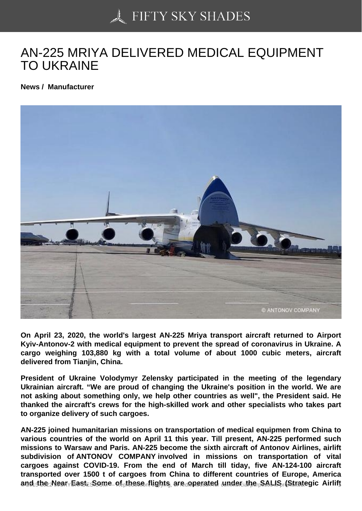## [AN-225 MRIYA DELIV](https://50skyshades.com)ERED MEDICAL EQUIPMENT TO UKRAINE

News / Manufacturer

On April 23, 2020, the world's largest AN-225 Mriya transport aircraft returned to Airport Kyiv-Antonov-2 with medical equipment to prevent the spread of coronavirus in Ukraine. A cargo weighing 103,880 kg with a total volume of about 1000 cubic meters, aircraft delivered from Tianjin, China.

President of Ukraine Volodymyr Zelensky participated in the meeting of the legendary Ukrainian aircraft. "We are proud of changing the Ukraine's position in the world. We are not asking about something only, we help other countries as well", the President said. He thanked the aircraft's crews for the high-skilled work and other specialists who takes part to organize delivery of such cargoes.

AN-225 joined humanitarian missions on transportation of medical equipmen from China to various countries of the world on April 11 this year. Till present, AN-225 performed such missions to Warsaw and Paris. AN-225 become the sixth aircraft of Antonov Airlines, airlift subdivision of ANTONOV COMPANY involved in missions on transportation of vital cargoes against COVID-19. From the end of March till tiday, five AN-124-100 aircraft transported over 1500 t of cargoes from China to different countries of Europe, America  $a_1a_2b_2$  and the  $\epsilon$  supersected under the Sectecute of the SALIS (Strategic Airlift  $\epsilon_{11}$